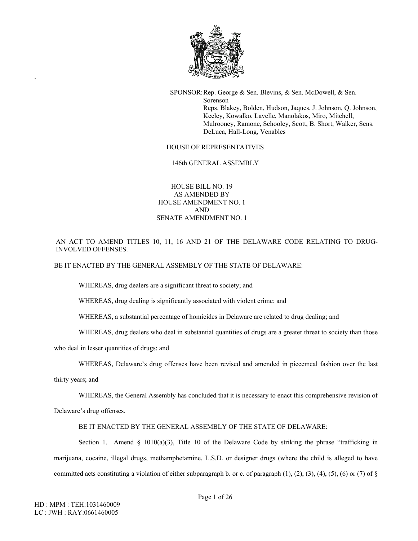

SPONSOR:Rep. George & Sen. Blevins, & Sen. McDowell, & Sen. Sorenson Reps. Blakey, Bolden, Hudson, Jaques, J. Johnson, Q. Johnson, Keeley, Kowalko, Lavelle, Manolakos, Miro, Mitchell, Mulrooney, Ramone, Schooley, Scott, B. Short, Walker, Sens. DeLuca, Hall-Long, Venables

## HOUSE OF REPRESENTATIVES

146th GENERAL ASSEMBLY

## HOUSE BILL NO. 19 AS AMENDED BY HOUSE AMENDMENT NO. 1 AND SENATE AMENDMENT NO. 1

AN ACT TO AMEND TITLES 10, 11, 16 AND 21 OF THE DELAWARE CODE RELATING TO DRUG-INVOLVED OFFENSES.

BE IT ENACTED BY THE GENERAL ASSEMBLY OF THE STATE OF DELAWARE:

WHEREAS, drug dealers are a significant threat to society; and

WHEREAS, drug dealing is significantly associated with violent crime; and

WHEREAS, a substantial percentage of homicides in Delaware are related to drug dealing; and

WHEREAS, drug dealers who deal in substantial quantities of drugs are a greater threat to society than those

who deal in lesser quantities of drugs; and

WHEREAS, Delaware's drug offenses have been revised and amended in piecemeal fashion over the last

thirty years; and

.

WHEREAS, the General Assembly has concluded that it is necessary to enact this comprehensive revision of

Delaware's drug offenses.

BE IT ENACTED BY THE GENERAL ASSEMBLY OF THE STATE OF DELAWARE:

Section 1. Amend § 1010(a)(3), Title 10 of the Delaware Code by striking the phrase "trafficking in marijuana, cocaine, illegal drugs, methamphetamine, L.S.D. or designer drugs (where the child is alleged to have committed acts constituting a violation of either subparagraph b. or c. of paragraph  $(1)$ ,  $(2)$ ,  $(3)$ ,  $(4)$ ,  $(5)$ ,  $(6)$  or  $(7)$  of  $\S$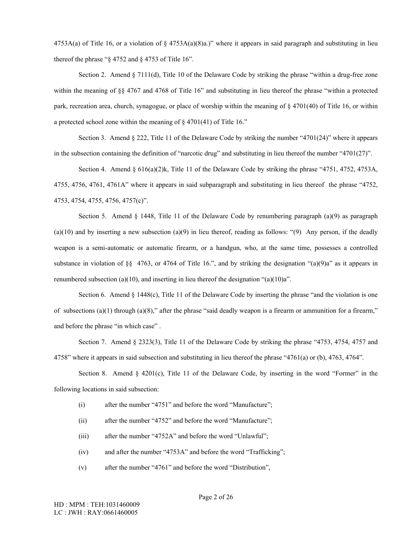$4753A(a)$  of Title 16, or a violation of §  $4753A(a)(8)a$ .)" where it appears in said paragraph and substituting in lieu thereof the phrase " $\S$  4752 and  $\S$  4753 of Title 16".

Section 2. Amend § 7111(d), Title 10 of the Delaware Code by striking the phrase "within a drug-free zone within the meaning of §§ 4767 and 4768 of Title 16" and substituting in lieu thereof the phrase "within a protected park, recreation area, church, synagogue, or place of worship within the meaning of § 4701(40) of Title 16, or within a protected school zone within the meaning of § 4701(41) of Title 16."

Section 3. Amend  $\S 222$ , Title 11 of the Delaware Code by striking the number "4701(24)" where it appears in the subsection containing the definition of "narcotic drug" and substituting in lieu thereof the number "4701(27)".

Section 4. Amend § 616(a)(2)k, Title 11 of the Delaware Code by striking the phrase "4751, 4752, 4753A, 4755, 4756, 4761, 4761A" where it appears in said subparagraph and substituting in lieu thereof the phrase "4752, 4753, 4754, 4755, 4756, 4757(c)".

Section 5. Amend § 1448, Title 11 of the Delaware Code by renumbering paragraph (a)(9) as paragraph  $(a)(10)$  and by inserting a new subsection  $(a)(9)$  in lieu thereof, reading as follows: " $(9)$  Any person, if the deadly weapon is a semi-automatic or automatic firearm, or a handgun, who, at the same time, possesses a controlled substance in violation of §§ 4763, or 4764 of Title 16.", and by striking the designation "(a)(9)a" as it appears in renumbered subsection (a)(10), and inserting in lieu thereof the designation " $(a)(10)a$ ".

Section 6. Amend § 1448(c), Title 11 of the Delaware Code by inserting the phrase "and the violation is one of subsections  $(a)(1)$  through  $(a)(8)$ ," after the phrase "said deadly weapon is a firearm or ammunition for a firearm," and before the phrase "in which case" .

Section 7. Amend § 2323(3), Title 11 of the Delaware Code by striking the phrase "4753, 4754, 4757 and 4758" where it appears in said subsection and substituting in lieu thereof the phrase "4761(a) or (b), 4763, 4764".

Section 8. Amend  $\S$  4201(c), Title 11 of the Delaware Code, by inserting in the word "Former" in the following locations in said subsection:

- (i) after the number "4751" and before the word "Manufacture";
- (ii) after the number "4752" and before the word "Manufacture";
- (iii) after the number "4752A" and before the word "Unlawful";
- (iv) and after the number "4753A" and before the word "Trafficking";
- (v) after the number "4761" and before the word "Distribution",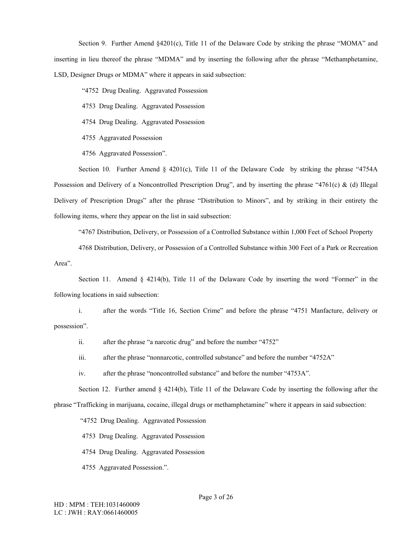Section 9. Further Amend §4201(c), Title 11 of the Delaware Code by striking the phrase "MOMA" and inserting in lieu thereof the phrase "MDMA" and by inserting the following after the phrase "Methamphetamine, LSD, Designer Drugs or MDMA" where it appears in said subsection:

"4752 Drug Dealing. Aggravated Possession

4753 Drug Dealing. Aggravated Possession

4754 Drug Dealing. Aggravated Possession

4755 Aggravated Possession

4756 Aggravated Possession".

Section 10. Further Amend § 4201(c), Title 11 of the Delaware Code by striking the phrase "4754A" Possession and Delivery of a Noncontrolled Prescription Drug", and by inserting the phrase "4761(c) & (d) Illegal Delivery of Prescription Drugs" after the phrase "Distribution to Minors", and by striking in their entirety the following items, where they appear on the list in said subsection:

"4767 Distribution, Delivery, or Possession of a Controlled Substance within 1,000 Feet of School Property

4768 Distribution, Delivery, or Possession of a Controlled Substance within 300 Feet of a Park or Recreation Area".

Section 11. Amend  $\S$  4214(b), Title 11 of the Delaware Code by inserting the word "Former" in the following locations in said subsection:

i. after the words "Title 16, Section Crime" and before the phrase "4751 Manfacture, delivery or possession".

ii. after the phrase "a narcotic drug" and before the number "4752"

iii. after the phrase "nonnarcotic, controlled substance" and before the number "4752A"

iv. after the phrase "noncontrolled substance" and before the number "4753A".

Section 12. Further amend  $\S 4214(b)$ , Title 11 of the Delaware Code by inserting the following after the

phrase "Trafficking in marijuana, cocaine, illegal drugs or methamphetamine" where it appears in said subsection:

"4752 Drug Dealing. Aggravated Possession

4753 Drug Dealing. Aggravated Possession

4754 Drug Dealing. Aggravated Possession

4755 Aggravated Possession.".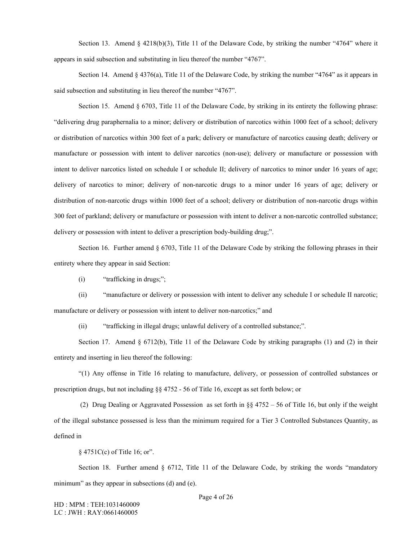Section 13. Amend  $\S$  4218(b)(3), Title 11 of the Delaware Code, by striking the number "4764" where it appears in said subsection and substituting in lieu thereof the number "4767".

Section 14. Amend § 4376(a), Title 11 of the Delaware Code, by striking the number "4764" as it appears in said subsection and substituting in lieu thereof the number "4767".

Section 15. Amend § 6703, Title 11 of the Delaware Code, by striking in its entirety the following phrase: "delivering drug paraphernalia to a minor; delivery or distribution of narcotics within 1000 feet of a school; delivery or distribution of narcotics within 300 feet of a park; delivery or manufacture of narcotics causing death; delivery or manufacture or possession with intent to deliver narcotics (non-use); delivery or manufacture or possession with intent to deliver narcotics listed on schedule I or schedule II; delivery of narcotics to minor under 16 years of age; delivery of narcotics to minor; delivery of non-narcotic drugs to a minor under 16 years of age; delivery or distribution of non-narcotic drugs within 1000 feet of a school; delivery or distribution of non-narcotic drugs within 300 feet of parkland; delivery or manufacture or possession with intent to deliver a non-narcotic controlled substance; delivery or possession with intent to deliver a prescription body-building drug;".

Section 16. Further amend § 6703, Title 11 of the Delaware Code by striking the following phrases in their entirety where they appear in said Section:

 $(i)$  "trafficking in drugs;";

(ii) "manufacture or delivery or possession with intent to deliver any schedule I or schedule II narcotic; manufacture or delivery or possession with intent to deliver non-narcotics;" and

(ii) "trafficking in illegal drugs; unlawful delivery of a controlled substance;".

Section 17. Amend § 6712(b), Title 11 of the Delaware Code by striking paragraphs (1) and (2) in their entirety and inserting in lieu thereof the following:

"(1) Any offense in Title 16 relating to manufacture, delivery, or possession of controlled substances or prescription drugs, but not including  $\S$ § 4752 - 56 of Title 16, except as set forth below; or

 (2) Drug Dealing or Aggravated Possession as set forth in §§ 4752 – 56 of Title 16, but only if the weight of the illegal substance possessed is less than the minimum required for a Tier 3 Controlled Substances Quantity, as defined in

§ 4751C(c) of Title 16; or".

Section 18. Further amend  $\S$  6712, Title 11 of the Delaware Code, by striking the words "mandatory" minimum" as they appear in subsections (d) and (e).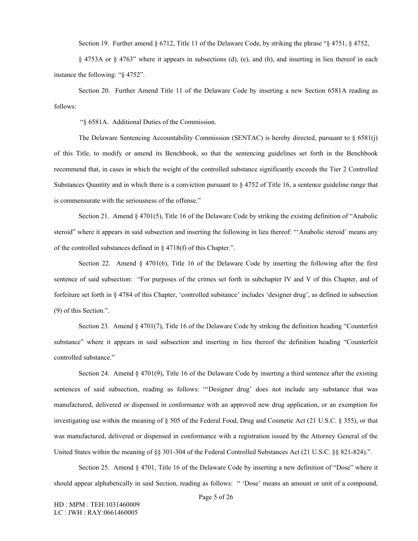Section 19. Further amend § 6712, Title 11 of the Delaware Code, by striking the phrase "§ 4751, § 4752,

§ 4753A or § 4763" where it appears in subsections (d), (e), and (h), and inserting in lieu thereof in each instance the following: "§ 4752".

Section 20. Further Amend Title 11 of the Delaware Code by inserting a new Section 6581A reading as follows:

"§ 6581A. Additional Duties of the Commission.

The Delaware Sentencing Accountability Commission (SENTAC) is hereby directed, pursuant to  $\S$  6581(j) of this Title, to modify or amend its Benchbook, so that the sentencing guidelines set forth in the Benchbook recommend that, in cases in which the weight of the controlled substance significantly exceeds the Tier 2 Controlled Substances Quantity and in which there is a conviction pursuant to § 4752 of Title 16, a sentence guideline range that is commensurate with the seriousness of the offense."

Section 21. Amend § 4701(5), Title 16 of the Delaware Code by striking the existing definition of "Anabolic" steroid" where it appears in said subsection and inserting the following in lieu thereof: "'Anabolic steroid' means any of the controlled substances defined in § 4718(f) of this Chapter.".

Section 22. Amend § 4701(6), Title 16 of the Delaware Code by inserting the following after the first sentence of said subsection: "For purposes of the crimes set forth in subchapter IV and V of this Chapter, and of forfeiture set forth in § 4784 of this Chapter, 'controlled substance' includes 'designer drug', as defined in subsection (9) of this Section.".

Section 23. Amend § 4701(7), Title 16 of the Delaware Code by striking the definition heading "Counterfeit" substance" where it appears in said subsection and inserting in lieu thereof the definition heading "Counterfeit controlled substance."

Section 24. Amend § 4701(9), Title 16 of the Delaware Code by inserting a third sentence after the existing sentences of said subsection, reading as follows: "'Designer drug' does not include any substance that was manufactured, delivered or dispensed in conformance with an approved new drug application, or an exemption for investigating use within the meaning of § 505 of the Federal Food, Drug and Cosmetic Act (21 U.S.C. § 355), or that was manufactured, delivered or dispensed in conformance with a registration issued by the Attorney General of the United States within the meaning of §§ 301-304 of the Federal Controlled Substances Act (21 U.S.C. §§ 821-824).".

Section 25. Amend § 4701, Title 16 of the Delaware Code by inserting a new definition of "Dose" where it should appear alphabetically in said Section, reading as follows: " 'Dose' means an amount or unit of a compound,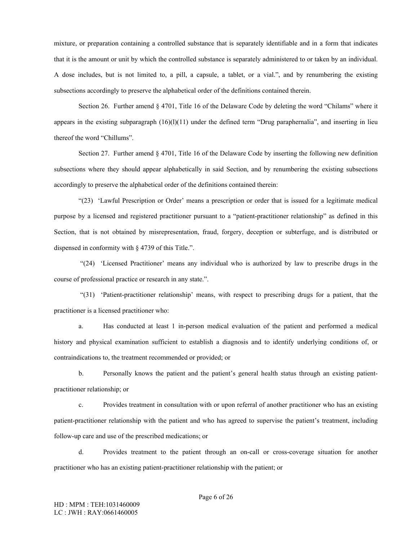mixture, or preparation containing a controlled substance that is separately identifiable and in a form that indicates that it is the amount or unit by which the controlled substance is separately administered to or taken by an individual. A dose includes, but is not limited to, a pill, a capsule, a tablet, or a vial.", and by renumbering the existing subsections accordingly to preserve the alphabetical order of the definitions contained therein.

Section 26. Further amend § 4701, Title 16 of the Delaware Code by deleting the word "Chilams" where it appears in the existing subparagraph  $(16)(11)$  under the defined term "Drug paraphernalia", and inserting in lieu thereof the word "Chillums".

Section 27. Further amend § 4701, Title 16 of the Delaware Code by inserting the following new definition subsections where they should appear alphabetically in said Section, and by renumbering the existing subsections accordingly to preserve the alphabetical order of the definitions contained therein:

"(23) 'Lawful Prescription or Order' means a prescription or order that is issued for a legitimate medical purpose by a licensed and registered practitioner pursuant to a "patient-practitioner relationship" as defined in this Section, that is not obtained by misrepresentation, fraud, forgery, deception or subterfuge, and is distributed or dispensed in conformity with § 4739 of this Title.".

 "(24) 'Licensed Practitioner' means any individual who is authorized by law to prescribe drugs in the course of professional practice or research in any state.".

 "(31) 'Patient-practitioner relationship' means, with respect to prescribing drugs for a patient, that the practitioner is a licensed practitioner who:

a. Has conducted at least 1 in-person medical evaluation of the patient and performed a medical history and physical examination sufficient to establish a diagnosis and to identify underlying conditions of, or contraindications to, the treatment recommended or provided; or

b. Personally knows the patient and the patient's general health status through an existing patientpractitioner relationship; or

c. Provides treatment in consultation with or upon referral of another practitioner who has an existing patient-practitioner relationship with the patient and who has agreed to supervise the patient's treatment, including follow-up care and use of the prescribed medications; or

d. Provides treatment to the patient through an on-call or cross-coverage situation for another practitioner who has an existing patient-practitioner relationship with the patient; or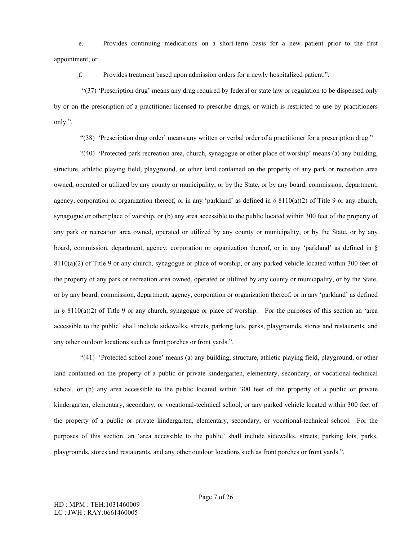e. Provides continuing medications on a short-term basis for a new patient prior to the first appointment; or

f. Provides treatment based upon admission orders for a newly hospitalized patient.".

 "(37) 'Prescription drug' means any drug required by federal or state law or regulation to be dispensed only by or on the prescription of a practitioner licensed to prescribe drugs, or which is restricted to use by practitioners only.".

"(38) 'Prescription drug order' means any written or verbal order of a practitioner for a prescription drug."

 "(40) 'Protected park recreation area, church, synagogue or other place of worship' means (a) any building, structure, athletic playing field, playground, or other land contained on the property of any park or recreation area owned, operated or utilized by any county or municipality, or by the State, or by any board, commission, department, agency, corporation or organization thereof, or in any 'parkland' as defined in  $\S 8110(a)(2)$  of Title 9 or any church, synagogue or other place of worship, or (b) any area accessible to the public located within 300 feet of the property of any park or recreation area owned, operated or utilized by any county or municipality, or by the State, or by any board, commission, department, agency, corporation or organization thereof, or in any 'parkland' as defined in §  $8110(a)(2)$  of Title 9 or any church, synagogue or place of worship, or any parked vehicle located within 300 feet of the property of any park or recreation area owned, operated or utilized by any county or municipality, or by the State, or by any board, commission, department, agency, corporation or organization thereof, or in any 'parkland' as defined in § 8110(a)(2) of Title 9 or any church, synagogue or place of worship. For the purposes of this section an 'area accessible to the public' shall include sidewalks, streets, parking lots, parks, playgrounds, stores and restaurants, and any other outdoor locations such as front porches or front yards.".

 "(41) 'Protected school zone' means (a) any building, structure, athletic playing field, playground, or other land contained on the property of a public or private kindergarten, elementary, secondary, or vocational-technical school, or (b) any area accessible to the public located within 300 feet of the property of a public or private kindergarten, elementary, secondary, or vocational-technical school, or any parked vehicle located within 300 feet of the property of a public or private kindergarten, elementary, secondary, or vocational-technical school. For the purposes of this section, an 'area accessible to the public' shall include sidewalks, streets, parking lots, parks, playgrounds, stores and restaurants, and any other outdoor locations such as front porches or front yards.".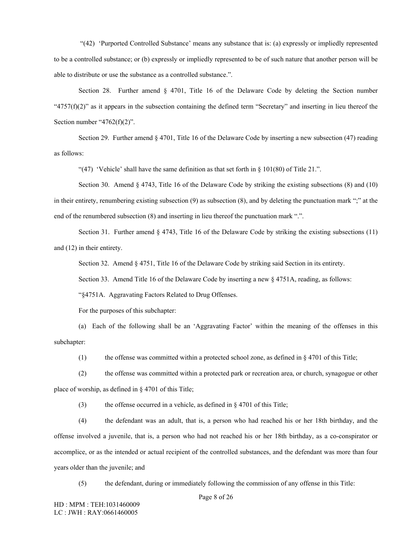"(42) 'Purported Controlled Substance' means any substance that is: (a) expressly or impliedly represented to be a controlled substance; or (b) expressly or impliedly represented to be of such nature that another person will be able to distribute or use the substance as a controlled substance.".

Section 28. Further amend § 4701, Title 16 of the Delaware Code by deleting the Section number " $4757(f)(2)$ " as it appears in the subsection containing the defined term "Secretary" and inserting in lieu thereof the Section number " $4762(f)(2)$ ".

Section 29. Further amend § 4701, Title 16 of the Delaware Code by inserting a new subsection (47) reading as follows:

"(47) 'Vehicle' shall have the same definition as that set forth in  $\S$  101(80) of Title 21.".

Section 30. Amend § 4743, Title 16 of the Delaware Code by striking the existing subsections (8) and (10) in their entirety, renumbering existing subsection (9) as subsection (8), and by deleting the punctuation mark ";" at the end of the renumbered subsection (8) and inserting in lieu thereof the punctuation mark ".".

Section 31. Further amend § 4743, Title 16 of the Delaware Code by striking the existing subsections (11) and (12) in their entirety.

Section 32. Amend § 4751, Title 16 of the Delaware Code by striking said Section in its entirety.

Section 33. Amend Title 16 of the Delaware Code by inserting a new  $\S$  4751A, reading, as follows:

"§4751A. Aggravating Factors Related to Drug Offenses.

For the purposes of this subchapter:

(a) Each of the following shall be an 'Aggravating Factor' within the meaning of the offenses in this subchapter:

(1) the offense was committed within a protected school zone, as defined in § 4701 of this Title;

(2) the offense was committed within a protected park or recreation area, or church, synagogue or other place of worship, as defined in § 4701 of this Title;

(3) the offense occurred in a vehicle, as defined in § 4701 of this Title;

(4) the defendant was an adult, that is, a person who had reached his or her 18th birthday, and the offense involved a juvenile, that is, a person who had not reached his or her 18th birthday, as a co-conspirator or accomplice, or as the intended or actual recipient of the controlled substances, and the defendant was more than four years older than the juvenile; and

(5) the defendant, during or immediately following the commission of any offense in this Title: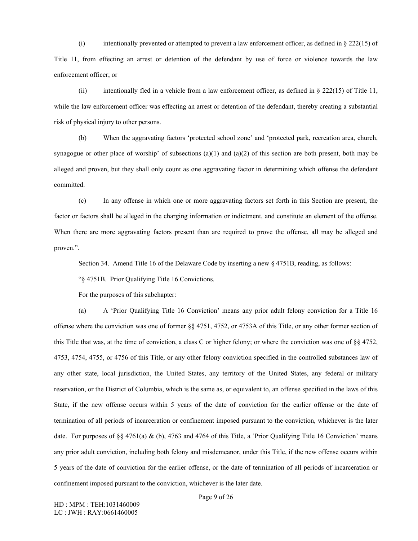(i) intentionally prevented or attempted to prevent a law enforcement officer, as defined in  $\S$  222(15) of Title 11, from effecting an arrest or detention of the defendant by use of force or violence towards the law enforcement officer; or

(ii) intentionally fled in a vehicle from a law enforcement officer, as defined in  $\S$  222(15) of Title 11, while the law enforcement officer was effecting an arrest or detention of the defendant, thereby creating a substantial risk of physical injury to other persons.

(b) When the aggravating factors 'protected school zone' and 'protected park, recreation area, church, synagogue or other place of worship' of subsections  $(a)(1)$  and  $(a)(2)$  of this section are both present, both may be alleged and proven, but they shall only count as one aggravating factor in determining which offense the defendant committed.

(c) In any offense in which one or more aggravating factors set forth in this Section are present, the factor or factors shall be alleged in the charging information or indictment, and constitute an element of the offense. When there are more aggravating factors present than are required to prove the offense, all may be alleged and proven.".

Section 34. Amend Title 16 of the Delaware Code by inserting a new § 4751B, reading, as follows:

"§ 4751B. Prior Qualifying Title 16 Convictions.

For the purposes of this subchapter:

(a) A 'Prior Qualifying Title 16 Conviction' means any prior adult felony conviction for a Title 16 offense where the conviction was one of former §§ 4751, 4752, or 4753A of this Title, or any other former section of this Title that was, at the time of conviction, a class C or higher felony; or where the conviction was one of §§ 4752, 4753, 4754, 4755, or 4756 of this Title, or any other felony conviction specified in the controlled substances law of any other state, local jurisdiction, the United States, any territory of the United States, any federal or military reservation, or the District of Columbia, which is the same as, or equivalent to, an offense specified in the laws of this State, if the new offense occurs within 5 years of the date of conviction for the earlier offense or the date of termination of all periods of incarceration or confinement imposed pursuant to the conviction, whichever is the later date. For purposes of §§ 4761(a)  $\&$  (b), 4763 and 4764 of this Title, a 'Prior Qualifying Title 16 Conviction' means any prior adult conviction, including both felony and misdemeanor, under this Title, if the new offense occurs within 5 years of the date of conviction for the earlier offense, or the date of termination of all periods of incarceration or confinement imposed pursuant to the conviction, whichever is the later date.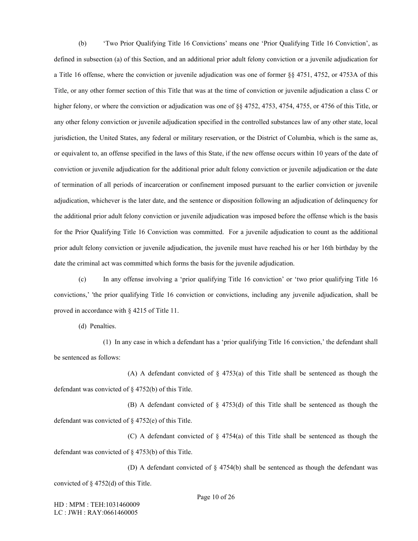(b) 'Two Prior Qualifying Title 16 Convictions' means one 'Prior Qualifying Title 16 Conviction', as defined in subsection (a) of this Section, and an additional prior adult felony conviction or a juvenile adjudication for a Title 16 offense, where the conviction or juvenile adjudication was one of former §§ 4751, 4752, or 4753A of this Title, or any other former section of this Title that was at the time of conviction or juvenile adjudication a class C or higher felony, or where the conviction or adjudication was one of §§ 4752, 4753, 4754, 4755, or 4756 of this Title, or any other felony conviction or juvenile adjudication specified in the controlled substances law of any other state, local jurisdiction, the United States, any federal or military reservation, or the District of Columbia, which is the same as, or equivalent to, an offense specified in the laws of this State, if the new offense occurs within 10 years of the date of conviction or juvenile adjudication for the additional prior adult felony conviction or juvenile adjudication or the date of termination of all periods of incarceration or confinement imposed pursuant to the earlier conviction or juvenile adjudication, whichever is the later date, and the sentence or disposition following an adjudication of delinquency for the additional prior adult felony conviction or juvenile adjudication was imposed before the offense which is the basis for the Prior Qualifying Title 16 Conviction was committed. For a juvenile adjudication to count as the additional prior adult felony conviction or juvenile adjudication, the juvenile must have reached his or her 16th birthday by the date the criminal act was committed which forms the basis for the juvenile adjudication.

(c) In any offense involving a 'prior qualifying Title 16 conviction' or 'two prior qualifying Title 16 convictions,' 'the prior qualifying Title 16 conviction or convictions, including any juvenile adjudication, shall be proved in accordance with § 4215 of Title 11.

(d) Penalties.

(1) In any case in which a defendant has a 'prior qualifying Title 16 conviction,' the defendant shall be sentenced as follows:

(A) A defendant convicted of  $\S$  4753(a) of this Title shall be sentenced as though the defendant was convicted of § 4752(b) of this Title.

(B) A defendant convicted of § 4753(d) of this Title shall be sentenced as though the defendant was convicted of § 4752(e) of this Title.

(C) A defendant convicted of  $\S$  4754(a) of this Title shall be sentenced as though the defendant was convicted of § 4753(b) of this Title.

(D) A defendant convicted of § 4754(b) shall be sentenced as though the defendant was convicted of § 4752(d) of this Title.

HD : MPM : TEH:1031460009 LC : JWH : RAY:0661460005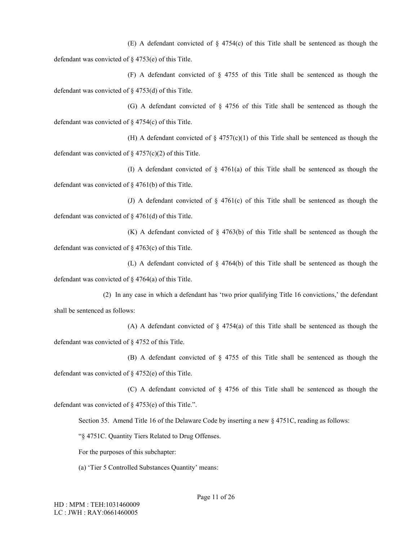(E) A defendant convicted of  $\S$  4754(c) of this Title shall be sentenced as though the defendant was convicted of § 4753(e) of this Title.

(F) A defendant convicted of § 4755 of this Title shall be sentenced as though the defendant was convicted of § 4753(d) of this Title.

(G) A defendant convicted of § 4756 of this Title shall be sentenced as though the defendant was convicted of § 4754(c) of this Title.

(H) A defendant convicted of  $\S$  4757(c)(1) of this Title shall be sentenced as though the defendant was convicted of  $\S$  4757(c)(2) of this Title.

(I) A defendant convicted of § 4761(a) of this Title shall be sentenced as though the defendant was convicted of § 4761(b) of this Title.

(J) A defendant convicted of  $\S$  4761(c) of this Title shall be sentenced as though the defendant was convicted of § 4761(d) of this Title.

(K) A defendant convicted of § 4763(b) of this Title shall be sentenced as though the defendant was convicted of § 4763(c) of this Title.

(L) A defendant convicted of § 4764(b) of this Title shall be sentenced as though the defendant was convicted of § 4764(a) of this Title.

(2) In any case in which a defendant has 'two prior qualifying Title 16 convictions,' the defendant shall be sentenced as follows:

(A) A defendant convicted of § 4754(a) of this Title shall be sentenced as though the defendant was convicted of § 4752 of this Title.

(B) A defendant convicted of § 4755 of this Title shall be sentenced as though the defendant was convicted of § 4752(e) of this Title.

(C) A defendant convicted of § 4756 of this Title shall be sentenced as though the defendant was convicted of § 4753(e) of this Title.".

Section 35. Amend Title 16 of the Delaware Code by inserting a new § 4751C, reading as follows:

"§ 4751C. Quantity Tiers Related to Drug Offenses.

For the purposes of this subchapter:

(a) 'Tier 5 Controlled Substances Quantity' means: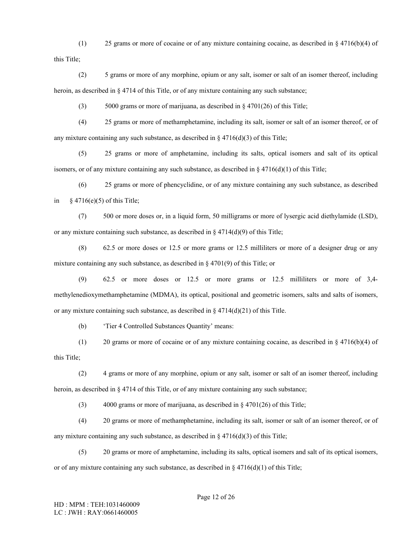(1) 25 grams or more of cocaine or of any mixture containing cocaine, as described in § 4716(b)(4) of this Title;

(2) 5 grams or more of any morphine, opium or any salt, isomer or salt of an isomer thereof, including heroin, as described in § 4714 of this Title, or of any mixture containing any such substance;

(3) 5000 grams or more of marijuana, as described in  $\S$  4701(26) of this Title;

(4) 25 grams or more of methamphetamine, including its salt, isomer or salt of an isomer thereof, or of any mixture containing any such substance, as described in  $\S$  4716(d)(3) of this Title;

(5) 25 grams or more of amphetamine, including its salts, optical isomers and salt of its optical isomers, or of any mixture containing any such substance, as described in  $\S 4716(d)(1)$  of this Title;

(6) 25 grams or more of phencyclidine, or of any mixture containing any such substance, as described in  $§$  4716(e)(5) of this Title;

(7) 500 or more doses or, in a liquid form, 50 milligrams or more of lysergic acid diethylamide (LSD), or any mixture containing such substance, as described in  $\S 4714(d)(9)$  of this Title;

(8) 62.5 or more doses or 12.5 or more grams or 12.5 milliliters or more of a designer drug or any mixture containing any such substance, as described in § 4701(9) of this Title; or

(9) 62.5 or more doses or 12.5 or more grams or 12.5 milliliters or more of 3,4 methylenedioxymethamphetamine (MDMA), its optical, positional and geometric isomers, salts and salts of isomers, or any mixture containing such substance, as described in  $\S 4714(d)(21)$  of this Title.

(b) 'Tier 4 Controlled Substances Quantity' means:

(1) 20 grams or more of cocaine or of any mixture containing cocaine, as described in § 4716(b)(4) of this Title;

(2) 4 grams or more of any morphine, opium or any salt, isomer or salt of an isomer thereof, including heroin, as described in  $\S$  4714 of this Title, or of any mixture containing any such substance;

(3) 4000 grams or more of marijuana, as described in § 4701(26) of this Title;

(4) 20 grams or more of methamphetamine, including its salt, isomer or salt of an isomer thereof, or of any mixture containing any such substance, as described in  $\S 4716(d)(3)$  of this Title;

(5) 20 grams or more of amphetamine, including its salts, optical isomers and salt of its optical isomers, or of any mixture containing any such substance, as described in  $\S 4716(d)(1)$  of this Title;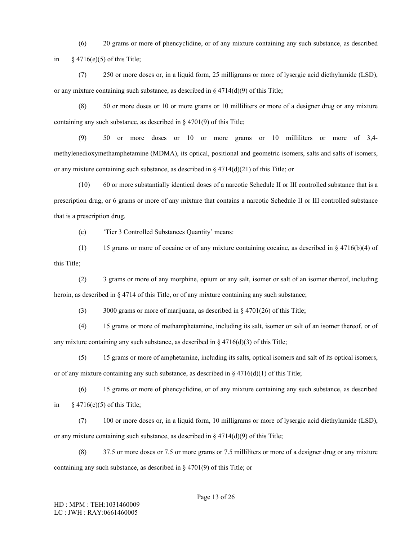(6) 20 grams or more of phencyclidine, or of any mixture containing any such substance, as described in  $\&$  4716(e)(5) of this Title;

(7) 250 or more doses or, in a liquid form, 25 milligrams or more of lysergic acid diethylamide (LSD), or any mixture containing such substance, as described in § 4714(d)(9) of this Title;

(8) 50 or more doses or 10 or more grams or 10 milliliters or more of a designer drug or any mixture containing any such substance, as described in § 4701(9) of this Title;

(9) 50 or more doses or 10 or more grams or 10 milliliters or more of 3,4 methylenedioxymethamphetamine (MDMA), its optical, positional and geometric isomers, salts and salts of isomers, or any mixture containing such substance, as described in  $\S 4714(d)(21)$  of this Title; or

(10) 60 or more substantially identical doses of a narcotic Schedule II or III controlled substance that is a prescription drug, or 6 grams or more of any mixture that contains a narcotic Schedule II or III controlled substance that is a prescription drug.

(c) 'Tier 3 Controlled Substances Quantity' means:

(1) 15 grams or more of cocaine or of any mixture containing cocaine, as described in § 4716(b)(4) of this Title;

(2) 3 grams or more of any morphine, opium or any salt, isomer or salt of an isomer thereof, including heroin, as described in § 4714 of this Title, or of any mixture containing any such substance;

(3) 3000 grams or more of marijuana, as described in § 4701(26) of this Title;

(4) 15 grams or more of methamphetamine, including its salt, isomer or salt of an isomer thereof, or of any mixture containing any such substance, as described in  $\S 4716(d)(3)$  of this Title;

(5) 15 grams or more of amphetamine, including its salts, optical isomers and salt of its optical isomers, or of any mixture containing any such substance, as described in  $\S$  4716(d)(1) of this Title;

(6) 15 grams or more of phencyclidine, or of any mixture containing any such substance, as described in  $§$  4716(e)(5) of this Title;

(7) 100 or more doses or, in a liquid form, 10 milligrams or more of lysergic acid diethylamide (LSD), or any mixture containing such substance, as described in § 4714(d)(9) of this Title;

(8) 37.5 or more doses or 7.5 or more grams or 7.5 milliliters or more of a designer drug or any mixture containing any such substance, as described in § 4701(9) of this Title; or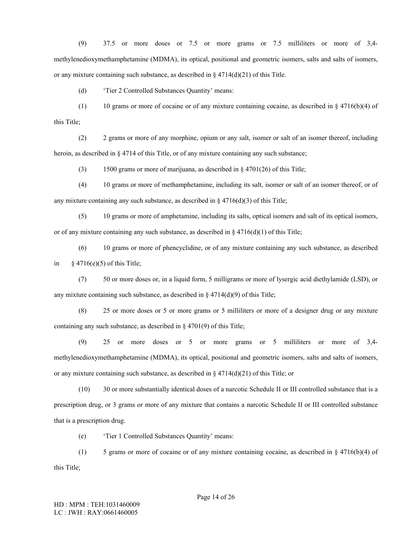(9) 37.5 or more doses or 7.5 or more grams or 7.5 milliliters or more of 3,4 methylenedioxymethamphetamine (MDMA), its optical, positional and geometric isomers, salts and salts of isomers, or any mixture containing such substance, as described in § 4714(d)(21) of this Title.

(d) 'Tier 2 Controlled Substances Quantity' means:

(1) 10 grams or more of cocaine or of any mixture containing cocaine, as described in  $\S 4716(b)(4)$  of this Title;

(2) 2 grams or more of any morphine, opium or any salt, isomer or salt of an isomer thereof, including heroin, as described in § 4714 of this Title, or of any mixture containing any such substance;

(3) 1500 grams or more of marijuana, as described in § 4701(26) of this Title;

(4) 10 grams or more of methamphetamine, including its salt, isomer or salt of an isomer thereof, or of any mixture containing any such substance, as described in  $\S 4716(d)(3)$  of this Title;

(5) 10 grams or more of amphetamine, including its salts, optical isomers and salt of its optical isomers, or of any mixture containing any such substance, as described in § 4716(d)(1) of this Title;

(6) 10 grams or more of phencyclidine, or of any mixture containing any such substance, as described in  $§$  4716(e)(5) of this Title;

(7) 50 or more doses or, in a liquid form, 5 milligrams or more of lysergic acid diethylamide (LSD), or any mixture containing such substance, as described in  $\S 4714(d)(9)$  of this Title;

(8) 25 or more doses or 5 or more grams or 5 milliliters or more of a designer drug or any mixture containing any such substance, as described in § 4701(9) of this Title;

(9) 25 or more doses or 5 or more grams or 5 milliliters or more of 3,4 methylenedioxymethamphetamine (MDMA), its optical, positional and geometric isomers, salts and salts of isomers, or any mixture containing such substance, as described in  $\S 4714(d)(21)$  of this Title; or

(10) 30 or more substantially identical doses of a narcotic Schedule II or III controlled substance that is a prescription drug, or 3 grams or more of any mixture that contains a narcotic Schedule II or III controlled substance that is a prescription drug.

(e) 'Tier 1 Controlled Substances Quantity' means:

(1) 5 grams or more of cocaine or of any mixture containing cocaine, as described in § 4716(b)(4) of this Title;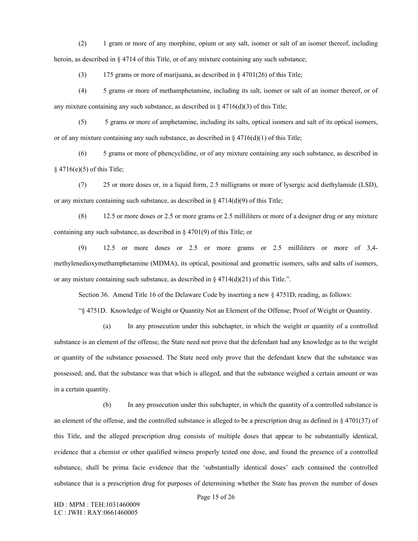(2) 1 gram or more of any morphine, opium or any salt, isomer or salt of an isomer thereof, including heroin, as described in  $\S$  4714 of this Title, or of any mixture containing any such substance;

(3) 175 grams or more of marijuana, as described in § 4701(26) of this Title;

(4) 5 grams or more of methamphetamine, including its salt, isomer or salt of an isomer thereof, or of any mixture containing any such substance, as described in  $\S 4716(d)(3)$  of this Title;

(5) 5 grams or more of amphetamine, including its salts, optical isomers and salt of its optical isomers, or of any mixture containing any such substance, as described in § 4716(d)(1) of this Title;

(6) 5 grams or more of phencyclidine, or of any mixture containing any such substance, as described in § 4716(e)(5) of this Title;

(7) 25 or more doses or, in a liquid form, 2.5 milligrams or more of lysergic acid diethylamide (LSD), or any mixture containing such substance, as described in § 4714(d)(9) of this Title;

(8) 12.5 or more doses or 2.5 or more grams or 2.5 milliliters or more of a designer drug or any mixture containing any such substance, as described in § 4701(9) of this Title; or

(9) 12.5 or more doses or 2.5 or more grams or 2.5 milliliters or more of 3,4 methylenedioxymethamphetamine (MDMA), its optical, positional and geometric isomers, salts and salts of isomers, or any mixture containing such substance, as described in  $\S 4714(d)(21)$  of this Title.".

Section 36. Amend Title 16 of the Delaware Code by inserting a new § 4751D, reading, as follows:

"§ 4751D. Knowledge of Weight or Quantity Not an Element of the Offense; Proof of Weight or Quantity.

(a) In any prosecution under this subchapter, in which the weight or quantity of a controlled substance is an element of the offense, the State need not prove that the defendant had any knowledge as to the weight or quantity of the substance possessed. The State need only prove that the defendant knew that the substance was possessed; and, that the substance was that which is alleged, and that the substance weighed a certain amount or was in a certain quantity.

(b) In any prosecution under this subchapter, in which the quantity of a controlled substance is an element of the offense, and the controlled substance is alleged to be a prescription drug as defined in  $\S$  4701(37) of this Title, and the alleged prescription drug consists of multiple doses that appear to be substantially identical, evidence that a chemist or other qualified witness properly tested one dose, and found the presence of a controlled substance, shall be prima facie evidence that the 'substantially identical doses' each contained the controlled substance that is a prescription drug for purposes of determining whether the State has proven the number of doses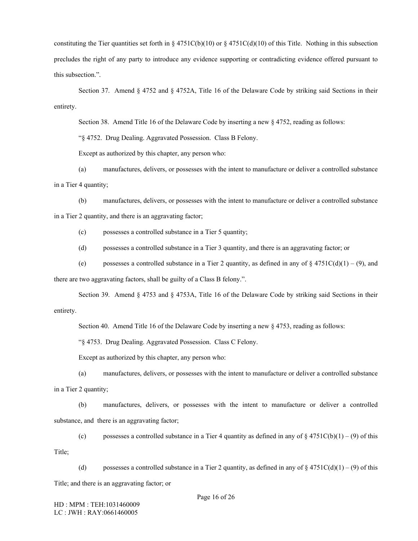constituting the Tier quantities set forth in § 4751C(b)(10) or § 4751C(d)(10) of this Title. Nothing in this subsection precludes the right of any party to introduce any evidence supporting or contradicting evidence offered pursuant to this subsection.".

Section 37. Amend § 4752 and § 4752A, Title 16 of the Delaware Code by striking said Sections in their entirety.

Section 38. Amend Title 16 of the Delaware Code by inserting a new § 4752, reading as follows:

"§ 4752. Drug Dealing. Aggravated Possession. Class B Felony.

Except as authorized by this chapter, any person who:

(a) manufactures, delivers, or possesses with the intent to manufacture or deliver a controlled substance in a Tier 4 quantity;

(b) manufactures, delivers, or possesses with the intent to manufacture or deliver a controlled substance in a Tier 2 quantity, and there is an aggravating factor;

(c) possesses a controlled substance in a Tier 5 quantity;

(d) possesses a controlled substance in a Tier 3 quantity, and there is an aggravating factor; or

(e) possesses a controlled substance in a Tier 2 quantity, as defined in any of  $\S$  4751C(d)(1) – (9), and

there are two aggravating factors, shall be guilty of a Class B felony.".

Section 39. Amend § 4753 and § 4753A, Title 16 of the Delaware Code by striking said Sections in their entirety.

Section 40. Amend Title 16 of the Delaware Code by inserting a new § 4753, reading as follows:

"§ 4753. Drug Dealing. Aggravated Possession. Class C Felony.

Except as authorized by this chapter, any person who:

(a) manufactures, delivers, or possesses with the intent to manufacture or deliver a controlled substance in a Tier 2 quantity;

(b) manufactures, delivers, or possesses with the intent to manufacture or deliver a controlled substance, and there is an aggravating factor;

(c) possesses a controlled substance in a Tier 4 quantity as defined in any of  $\S 4751C(b)(1) - (9)$  of this

Title;

(d) possesses a controlled substance in a Tier 2 quantity, as defined in any of  $\S 4751C(d)(1) - (9)$  of this

Title; and there is an aggravating factor; or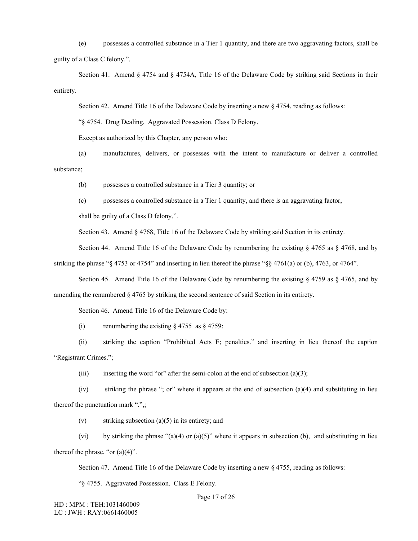(e) possesses a controlled substance in a Tier 1 quantity, and there are two aggravating factors, shall be guilty of a Class C felony.".

Section 41. Amend § 4754 and § 4754A, Title 16 of the Delaware Code by striking said Sections in their entirety.

Section 42. Amend Title 16 of the Delaware Code by inserting a new  $\S$  4754, reading as follows:

"§ 4754. Drug Dealing. Aggravated Possession. Class D Felony.

Except as authorized by this Chapter, any person who:

(a) manufactures, delivers, or possesses with the intent to manufacture or deliver a controlled substance;

(b) possesses a controlled substance in a Tier 3 quantity; or

(c) possesses a controlled substance in a Tier 1 quantity, and there is an aggravating factor,

shall be guilty of a Class D felony.".

Section 43. Amend § 4768, Title 16 of the Delaware Code by striking said Section in its entirety.

Section 44. Amend Title 16 of the Delaware Code by renumbering the existing  $\S$  4765 as  $\S$  4768, and by

striking the phrase "§ 4753 or 4754" and inserting in lieu thereof the phrase "§§ 4761(a) or (b), 4763, or 4764".

Section 45. Amend Title 16 of the Delaware Code by renumbering the existing  $\S$  4759 as  $\S$  4765, and by amending the renumbered § 4765 by striking the second sentence of said Section in its entirety.

Section 46. Amend Title 16 of the Delaware Code by:

(i) renumbering the existing  $\S$  4755 as  $\S$  4759:

(ii) striking the caption "Prohibited Acts E; penalties." and inserting in lieu thereof the caption "Registrant Crimes.";

(iii) inserting the word "or" after the semi-colon at the end of subsection (a)(3);

(iv) striking the phrase "; or" where it appears at the end of subsection (a)(4) and substituting in lieu thereof the punctuation mark ".",;

(v) striking subsection (a)(5) in its entirety; and

(vi) by striking the phrase "(a)(4) or (a)(5)" where it appears in subsection (b), and substituting in lieu thereof the phrase, "or  $(a)(4)$ ".

Section 47. Amend Title 16 of the Delaware Code by inserting a new § 4755, reading as follows:

"§ 4755. Aggravated Possession. Class E Felony.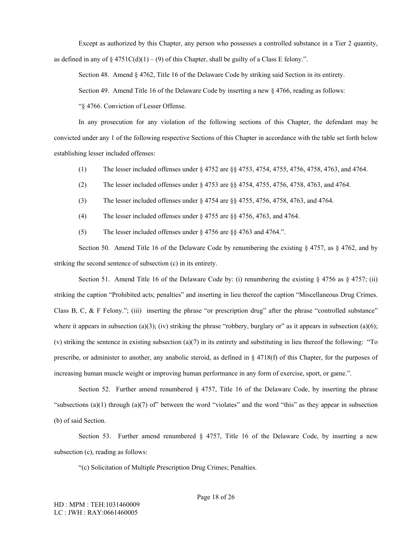Except as authorized by this Chapter, any person who possesses a controlled substance in a Tier 2 quantity, as defined in any of  $\S 4751C(d)(1) - (9)$  of this Chapter, shall be guilty of a Class E felony.".

Section 48. Amend § 4762, Title 16 of the Delaware Code by striking said Section in its entirety.

Section 49. Amend Title 16 of the Delaware Code by inserting a new § 4766, reading as follows:

"§ 4766. Conviction of Lesser Offense.

In any prosecution for any violation of the following sections of this Chapter, the defendant may be convicted under any 1 of the following respective Sections of this Chapter in accordance with the table set forth below establishing lesser included offenses:

- (1) The lesser included offenses under § 4752 are §§ 4753, 4754, 4755, 4756, 4758, 4763, and 4764.
- (2) The lesser included offenses under § 4753 are §§ 4754, 4755, 4756, 4758, 4763, and 4764.
- (3) The lesser included offenses under § 4754 are §§ 4755, 4756, 4758, 4763, and 4764.
- (4) The lesser included offenses under § 4755 are §§ 4756, 4763, and 4764.
- (5) The lesser included offenses under § 4756 are §§ 4763 and 4764.".

Section 50. Amend Title 16 of the Delaware Code by renumbering the existing  $\S$  4757, as  $\S$  4762, and by striking the second sentence of subsection (c) in its entirety.

Section 51. Amend Title 16 of the Delaware Code by: (i) renumbering the existing  $\S$  4756 as  $\S$  4757; (ii) striking the caption "Prohibited acts; penalties" and inserting in lieu thereof the caption "Miscellaneous Drug Crimes. Class B, C, & F Felony."; (iii) inserting the phrase "or prescription drug" after the phrase "controlled substance" where it appears in subsection (a)(3); (iv) striking the phrase "robbery, burglary or" as it appears in subsection (a)(6); (v) striking the sentence in existing subsection (a)(7) in its entirety and substituting in lieu thereof the following: "To prescribe, or administer to another, any anabolic steroid, as defined in § 4718(f) of this Chapter, for the purposes of increasing human muscle weight or improving human performance in any form of exercise, sport, or game.".

Section 52. Further amend renumbered § 4757, Title 16 of the Delaware Code, by inserting the phrase "subsections (a)(1) through (a)(7) of" between the word "violates" and the word "this" as they appear in subsection (b) of said Section.

Section 53. Further amend renumbered  $\S$  4757, Title 16 of the Delaware Code, by inserting a new subsection (c), reading as follows:

"(c) Solicitation of Multiple Prescription Drug Crimes; Penalties.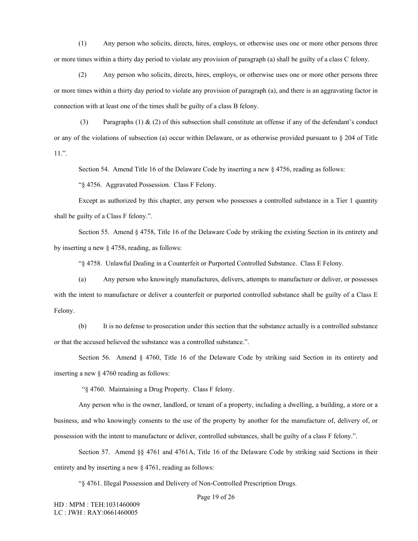(1) Any person who solicits, directs, hires, employs, or otherwise uses one or more other persons three or more times within a thirty day period to violate any provision of paragraph (a) shall be guilty of a class C felony.

(2) Any person who solicits, directs, hires, employs, or otherwise uses one or more other persons three or more times within a thirty day period to violate any provision of paragraph (a), and there is an aggravating factor in connection with at least one of the times shall be guilty of a class B felony.

(3) Paragraphs (1)  $\&$  (2) of this subsection shall constitute an offense if any of the defendant's conduct or any of the violations of subsection (a) occur within Delaware, or as otherwise provided pursuant to § 204 of Title 11.".

Section 54. Amend Title 16 of the Delaware Code by inserting a new § 4756, reading as follows:

"§ 4756. Aggravated Possession. Class F Felony.

Except as authorized by this chapter, any person who possesses a controlled substance in a Tier 1 quantity shall be guilty of a Class F felony.".

Section 55. Amend § 4758, Title 16 of the Delaware Code by striking the existing Section in its entirety and by inserting a new § 4758, reading, as follows:

"§ 4758. Unlawful Dealing in a Counterfeit or Purported Controlled Substance. Class E Felony.

(a) Any person who knowingly manufactures, delivers, attempts to manufacture or deliver, or possesses with the intent to manufacture or deliver a counterfeit or purported controlled substance shall be guilty of a Class E Felony.

(b) It is no defense to prosecution under this section that the substance actually is a controlled substance or that the accused believed the substance was a controlled substance.".

Section 56. Amend § 4760, Title 16 of the Delaware Code by striking said Section in its entirety and inserting a new § 4760 reading as follows:

"§ 4760. Maintaining a Drug Property. Class F felony.

Any person who is the owner, landlord, or tenant of a property, including a dwelling, a building, a store or a business, and who knowingly consents to the use of the property by another for the manufacture of, delivery of, or possession with the intent to manufacture or deliver, controlled substances, shall be guilty of a class F felony.".

Section 57. Amend §§ 4761 and 4761A, Title 16 of the Delaware Code by striking said Sections in their entirety and by inserting a new § 4761, reading as follows:

"§ 4761. Illegal Possession and Delivery of Non-Controlled Prescription Drugs.

Page 19 of 26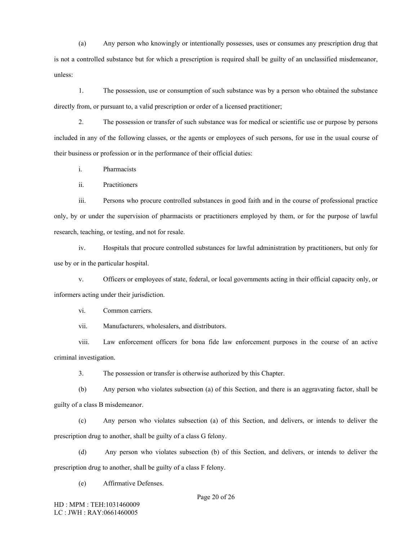(a) Any person who knowingly or intentionally possesses, uses or consumes any prescription drug that is not a controlled substance but for which a prescription is required shall be guilty of an unclassified misdemeanor, unless:

1. The possession, use or consumption of such substance was by a person who obtained the substance directly from, or pursuant to, a valid prescription or order of a licensed practitioner;

2. The possession or transfer of such substance was for medical or scientific use or purpose by persons included in any of the following classes, or the agents or employees of such persons, for use in the usual course of their business or profession or in the performance of their official duties:

i. Pharmacists

ii. Practitioners

iii. Persons who procure controlled substances in good faith and in the course of professional practice only, by or under the supervision of pharmacists or practitioners employed by them, or for the purpose of lawful research, teaching, or testing, and not for resale.

iv. Hospitals that procure controlled substances for lawful administration by practitioners, but only for use by or in the particular hospital.

v. Officers or employees of state, federal, or local governments acting in their official capacity only, or informers acting under their jurisdiction.

vi. Common carriers.

vii. Manufacturers, wholesalers, and distributors.

viii. Law enforcement officers for bona fide law enforcement purposes in the course of an active criminal investigation.

3. The possession or transfer is otherwise authorized by this Chapter.

(b) Any person who violates subsection (a) of this Section, and there is an aggravating factor, shall be guilty of a class B misdemeanor.

(c) Any person who violates subsection (a) of this Section, and delivers, or intends to deliver the prescription drug to another, shall be guilty of a class G felony.

(d) Any person who violates subsection (b) of this Section, and delivers, or intends to deliver the prescription drug to another, shall be guilty of a class F felony.

(e) Affirmative Defenses.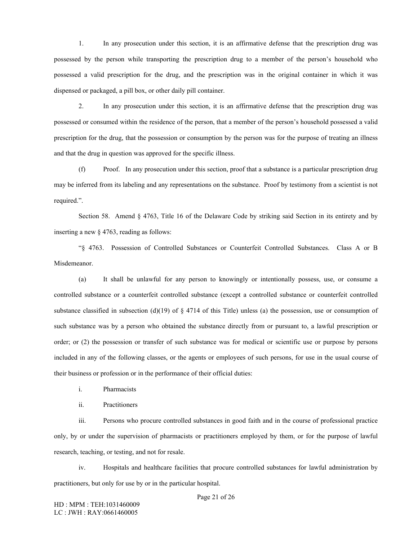1. In any prosecution under this section, it is an affirmative defense that the prescription drug was possessed by the person while transporting the prescription drug to a member of the person's household who possessed a valid prescription for the drug, and the prescription was in the original container in which it was dispensed or packaged, a pill box, or other daily pill container.

2. In any prosecution under this section, it is an affirmative defense that the prescription drug was possessed or consumed within the residence of the person, that a member of the person's household possessed a valid prescription for the drug, that the possession or consumption by the person was for the purpose of treating an illness and that the drug in question was approved for the specific illness.

(f) Proof. In any prosecution under this section, proof that a substance is a particular prescription drug may be inferred from its labeling and any representations on the substance. Proof by testimony from a scientist is not required.".

Section 58. Amend § 4763, Title 16 of the Delaware Code by striking said Section in its entirety and by inserting a new § 4763, reading as follows:

"§ 4763. Possession of Controlled Substances or Counterfeit Controlled Substances. Class A or B Misdemeanor.

(a) It shall be unlawful for any person to knowingly or intentionally possess, use, or consume a controlled substance or a counterfeit controlled substance (except a controlled substance or counterfeit controlled substance classified in subsection (d)(19) of  $\S$  4714 of this Title) unless (a) the possession, use or consumption of such substance was by a person who obtained the substance directly from or pursuant to, a lawful prescription or order; or (2) the possession or transfer of such substance was for medical or scientific use or purpose by persons included in any of the following classes, or the agents or employees of such persons, for use in the usual course of their business or profession or in the performance of their official duties:

i. Pharmacists

ii. Practitioners

iii. Persons who procure controlled substances in good faith and in the course of professional practice only, by or under the supervision of pharmacists or practitioners employed by them, or for the purpose of lawful research, teaching, or testing, and not for resale.

iv. Hospitals and healthcare facilities that procure controlled substances for lawful administration by practitioners, but only for use by or in the particular hospital.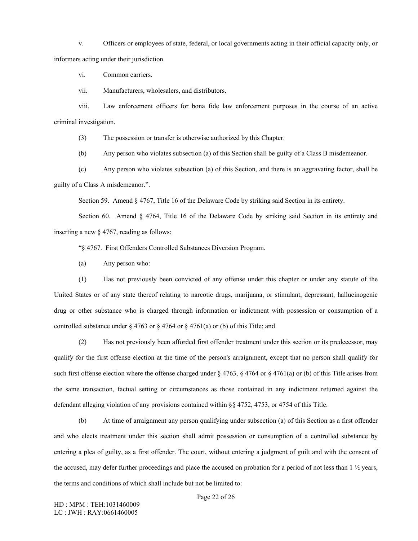v. Officers or employees of state, federal, or local governments acting in their official capacity only, or informers acting under their jurisdiction.

vi. Common carriers.

vii. Manufacturers, wholesalers, and distributors.

viii. Law enforcement officers for bona fide law enforcement purposes in the course of an active criminal investigation.

(3) The possession or transfer is otherwise authorized by this Chapter.

(b) Any person who violates subsection (a) of this Section shall be guilty of a Class B misdemeanor.

(c) Any person who violates subsection (a) of this Section, and there is an aggravating factor, shall be guilty of a Class A misdemeanor.".

Section 59. Amend § 4767, Title 16 of the Delaware Code by striking said Section in its entirety.

Section 60. Amend § 4764, Title 16 of the Delaware Code by striking said Section in its entirety and inserting a new § 4767, reading as follows:

"§ 4767. First Offenders Controlled Substances Diversion Program.

(a) Any person who:

(1) Has not previously been convicted of any offense under this chapter or under any statute of the United States or of any state thereof relating to narcotic drugs, marijuana, or stimulant, depressant, hallucinogenic drug or other substance who is charged through information or indictment with possession or consumption of a controlled substance under  $\S 4763$  or  $\S 4764$  or  $\S 4761$ (a) or (b) of this Title; and

(2) Has not previously been afforded first offender treatment under this section or its predecessor, may qualify for the first offense election at the time of the person's arraignment, except that no person shall qualify for such first offense election where the offense charged under  $\S 4763$ ,  $\S 4764$  or  $\S 4761$ (a) or (b) of this Title arises from the same transaction, factual setting or circumstances as those contained in any indictment returned against the defendant alleging violation of any provisions contained within §§ 4752, 4753, or 4754 of this Title.

(b) At time of arraignment any person qualifying under subsection (a) of this Section as a first offender and who elects treatment under this section shall admit possession or consumption of a controlled substance by entering a plea of guilty, as a first offender. The court, without entering a judgment of guilt and with the consent of the accused, may defer further proceedings and place the accused on probation for a period of not less than  $1\frac{1}{2}$  years, the terms and conditions of which shall include but not be limited to: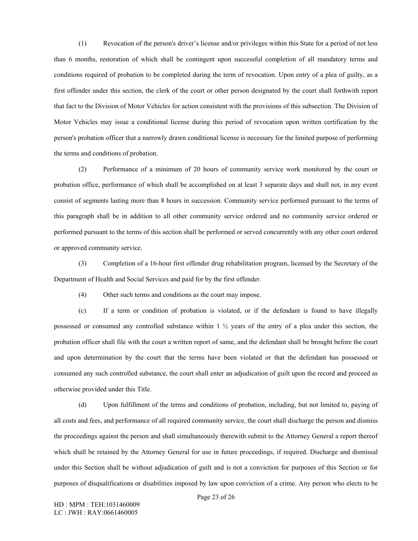(1) Revocation of the person's driver's license and/or privileges within this State for a period of not less than 6 months, restoration of which shall be contingent upon successful completion of all mandatory terms and conditions required of probation to be completed during the term of revocation. Upon entry of a plea of guilty, as a first offender under this section, the clerk of the court or other person designated by the court shall forthwith report that fact to the Division of Motor Vehicles for action consistent with the provisions of this subsection. The Division of Motor Vehicles may issue a conditional license during this period of revocation upon written certification by the person's probation officer that a narrowly drawn conditional license is necessary for the limited purpose of performing the terms and conditions of probation.

(2) Performance of a minimum of 20 hours of community service work monitored by the court or probation office, performance of which shall be accomplished on at least 3 separate days and shall not, in any event consist of segments lasting more than 8 hours in succession. Community service performed pursuant to the terms of this paragraph shall be in addition to all other community service ordered and no community service ordered or performed pursuant to the terms of this section shall be performed or served concurrently with any other court ordered or approved community service.

(3) Completion of a 16-hour first offender drug rehabilitation program, licensed by the Secretary of the Department of Health and Social Services and paid for by the first offender.

(4) Other such terms and conditions as the court may impose.

(c) If a term or condition of probation is violated, or if the defendant is found to have illegally possessed or consumed any controlled substance within 1 ½ years of the entry of a plea under this section, the probation officer shall file with the court a written report of same, and the defendant shall be brought before the court and upon determination by the court that the terms have been violated or that the defendant has possessed or consumed any such controlled substance, the court shall enter an adjudication of guilt upon the record and proceed as otherwise provided under this Title.

(d) Upon fulfillment of the terms and conditions of probation, including, but not limited to, paying of all costs and fees, and performance of all required community service, the court shall discharge the person and dismiss the proceedings against the person and shall simultaneously therewith submit to the Attorney General a report thereof which shall be retained by the Attorney General for use in future proceedings, if required. Discharge and dismissal under this Section shall be without adjudication of guilt and is not a conviction for purposes of this Section or for purposes of disqualifications or disabilities imposed by law upon conviction of a crime. Any person who elects to be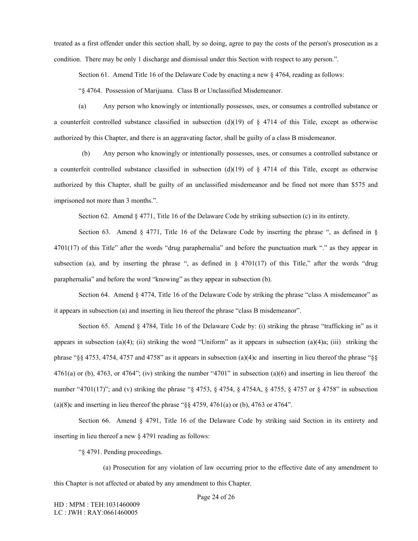treated as a first offender under this section shall, by so doing, agree to pay the costs of the person's prosecution as a condition. There may be only 1 discharge and dismissal under this Section with respect to any person.".

Section 61. Amend Title 16 of the Delaware Code by enacting a new § 4764, reading as follows:

"§ 4764. Possession of Marijuana. Class B or Unclassified Misdemeanor.

(a) Any person who knowingly or intentionally possesses, uses, or consumes a controlled substance or a counterfeit controlled substance classified in subsection (d)(19) of  $\S$  4714 of this Title, except as otherwise authorized by this Chapter, and there is an aggravating factor, shall be guilty of a class B misdemeanor.

 (b) Any person who knowingly or intentionally possesses, uses, or consumes a controlled substance or a counterfeit controlled substance classified in subsection (d)(19) of  $\S$  4714 of this Title, except as otherwise authorized by this Chapter, shall be guilty of an unclassified misdemeanor and be fined not more than \$575 and imprisoned not more than 3 months.".

Section 62. Amend § 4771, Title 16 of the Delaware Code by striking subsection (c) in its entirety.

Section 63. Amend  $\S$  4771, Title 16 of the Delaware Code by inserting the phrase ", as defined in  $\S$ 4701(17) of this Title" after the words "drug paraphernalia" and before the punctuation mark "." as they appear in subsection (a), and by inserting the phrase ", as defined in  $\S$  4701(17) of this Title," after the words "drug paraphernalia" and before the word "knowing" as they appear in subsection (b).

Section 64. Amend § 4774, Title 16 of the Delaware Code by striking the phrase "class A misdemeanor" as it appears in subsection (a) and inserting in lieu thereof the phrase "class B misdemeanor".

Section 65. Amend § 4784, Title 16 of the Delaware Code by: (i) striking the phrase "trafficking in" as it appears in subsection (a)(4); (ii) striking the word "Uniform" as it appears in subsection (a)(4)a; (iii) striking the phrase "§§ 4753, 4754, 4757 and 4758" as it appears in subsection (a)(4)c and inserting in lieu thereof the phrase "§§  $4761(a)$  or (b),  $4763$ , or  $4764$ "; (iv) striking the number " $4701$ " in subsection (a)(6) and inserting in lieu thereof the number "4701(17)"; and (v) striking the phrase "§ 4753, § 4754, § 4754A, § 4755, § 4757 or § 4758" in subsection (a)(8)c and inserting in lieu thereof the phrase " $\S$ § 4759, 4761(a) or (b), 4763 or 4764".

Section 66. Amend § 4791, Title 16 of the Delaware Code by striking said Section in its entirety and inserting in lieu thereof a new § 4791 reading as follows:

"§ 4791. Pending proceedings.

(a) Prosecution for any violation of law occurring prior to the effective date of any amendment to this Chapter is not affected or abated by any amendment to this Chapter.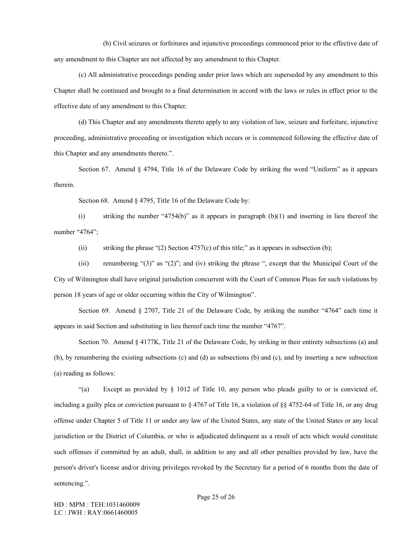(b) Civil seizures or forfeitures and injunctive proceedings commenced prior to the effective date of any amendment to this Chapter are not affected by any amendment to this Chapter.

(c) All administrative proceedings pending under prior laws which are superseded by any amendment to this Chapter shall be continued and brought to a final determination in accord with the laws or rules in effect prior to the effective date of any amendment to this Chapter.

(d) This Chapter and any amendments thereto apply to any violation of law, seizure and forfeiture, injunctive proceeding, administrative proceeding or investigation which occurs or is commenced following the effective date of this Chapter and any amendments thereto.".

Section 67. Amend § 4794, Title 16 of the Delaware Code by striking the word "Uniform" as it appears therein.

Section 68. Amend § 4795, Title 16 of the Delaware Code by:

(i) striking the number "4754(b)" as it appears in paragraph (b)(1) and inserting in lieu thereof the number "4764";

(ii) striking the phrase "(2) Section 4757(c) of this title;" as it appears in subsection (b);

(iii) renumbering "(3)" as "(2)"; and (iv) striking the phrase ", except that the Municipal Court of the City of Wilmington shall have original jurisdiction concurrent with the Court of Common Pleas for such violations by person 18 years of age or older occurring within the City of Wilmington".

Section 69. Amend § 2707, Title 21 of the Delaware Code, by striking the number "4764" each time it appears in said Section and substituting in lieu thereof each time the number "4767".

Section 70. Amend § 4177K, Title 21 of the Delaware Code, by striking in their entirety subsections (a) and (b), by renumbering the existing subsections (c) and (d) as subsections (b) and (c), and by inserting a new subsection (a) reading as follows:

"(a) Except as provided by § 1012 of Title 10, any person who pleads guilty to or is convicted of, including a guilty plea or conviction pursuant to  $\S 4767$  of Title 16, a violation of  $\S 8 4752-64$  of Title 16, or any drug offense under Chapter 5 of Title 11 or under any law of the United States, any state of the United States or any local jurisdiction or the District of Columbia, or who is adjudicated delinquent as a result of acts which would constitute such offenses if committed by an adult, shall, in addition to any and all other penalties provided by law, have the person's driver's license and/or driving privileges revoked by the Secretary for a period of 6 months from the date of sentencing.".